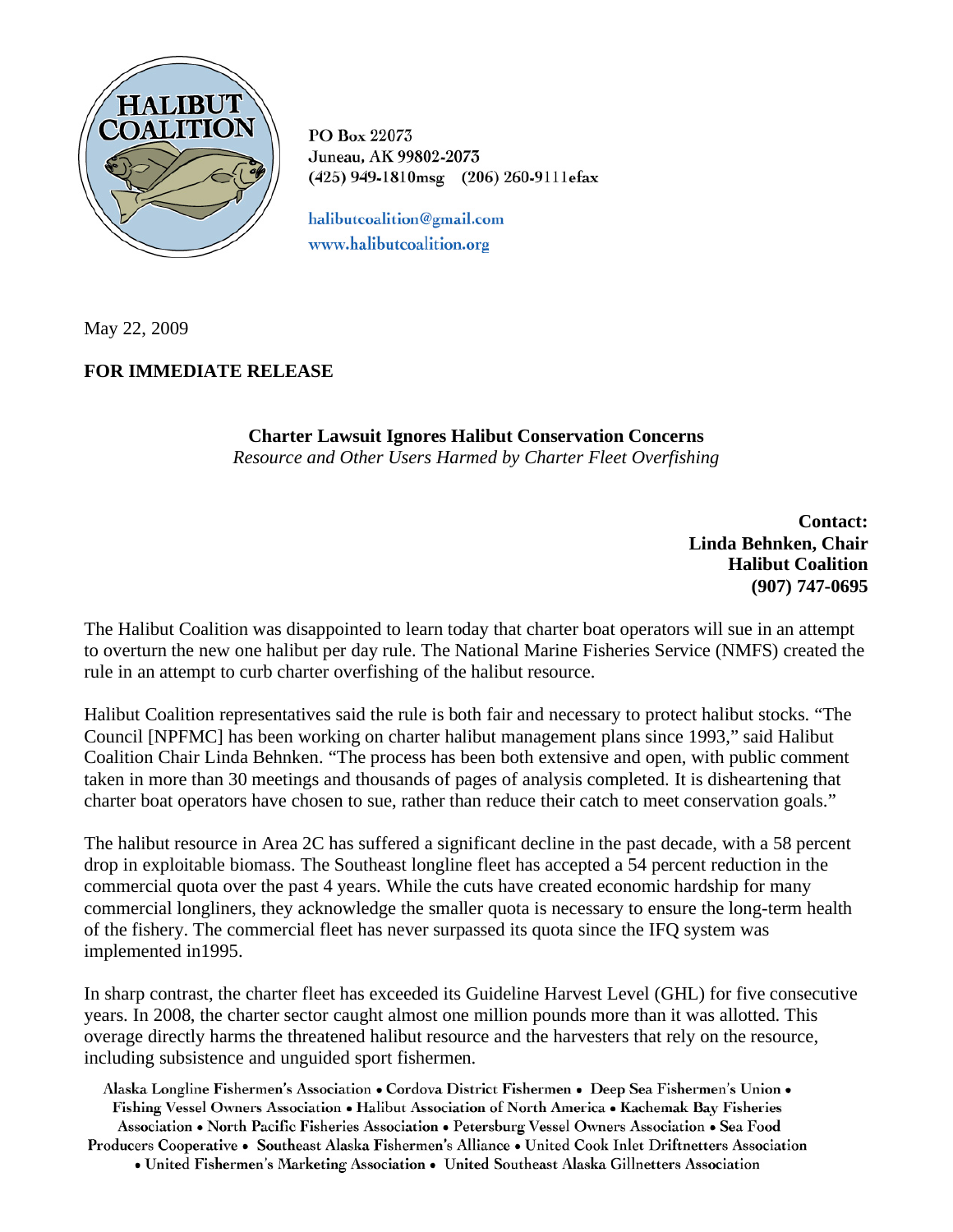

PO Box 22073 Juneau, AK 99802-2073 (425) 949-1810msg (206) 260-9111efax

halibutcoalition@gmail.com www.halibutcoalition.org

May 22, 2009

## **FOR IMMEDIATE RELEASE**

**Charter Lawsuit Ignores Halibut Conservation Concerns**  *Resource and Other Users Harmed by Charter Fleet Overfishing* 

> **Contact: Linda Behnken, Chair Halibut Coalition (907) 747-0695**

The Halibut Coalition was disappointed to learn today that charter boat operators will sue in an attempt to overturn the new one halibut per day rule. The National Marine Fisheries Service (NMFS) created the rule in an attempt to curb charter overfishing of the halibut resource.

Halibut Coalition representatives said the rule is both fair and necessary to protect halibut stocks. "The Council [NPFMC] has been working on charter halibut management plans since 1993," said Halibut Coalition Chair Linda Behnken. "The process has been both extensive and open, with public comment taken in more than 30 meetings and thousands of pages of analysis completed. It is disheartening that charter boat operators have chosen to sue, rather than reduce their catch to meet conservation goals."

The halibut resource in Area 2C has suffered a significant decline in the past decade, with a 58 percent drop in exploitable biomass. The Southeast longline fleet has accepted a 54 percent reduction in the commercial quota over the past 4 years. While the cuts have created economic hardship for many commercial longliners, they acknowledge the smaller quota is necessary to ensure the long-term health of the fishery. The commercial fleet has never surpassed its quota since the IFQ system was implemented in1995.

In sharp contrast, the charter fleet has exceeded its Guideline Harvest Level (GHL) for five consecutive years. In 2008, the charter sector caught almost one million pounds more than it was allotted. This overage directly harms the threatened halibut resource and the harvesters that rely on the resource, including subsistence and unguided sport fishermen.

Alaska Longline Fishermen's Association • Cordova District Fishermen • Deep Sea Fishermen's Union • Fishing Vessel Owners Association • Halibut Association of North America • Kachemak Bay Fisheries Association • North Pacific Fisheries Association • Petersburg Vessel Owners Association • Sea Food

Producers Cooperative • Southeast Alaska Fishermen's Alliance • United Cook Inlet Driftnetters Association • United Fishermen's Marketing Association • United Southeast Alaska Gillnetters Association